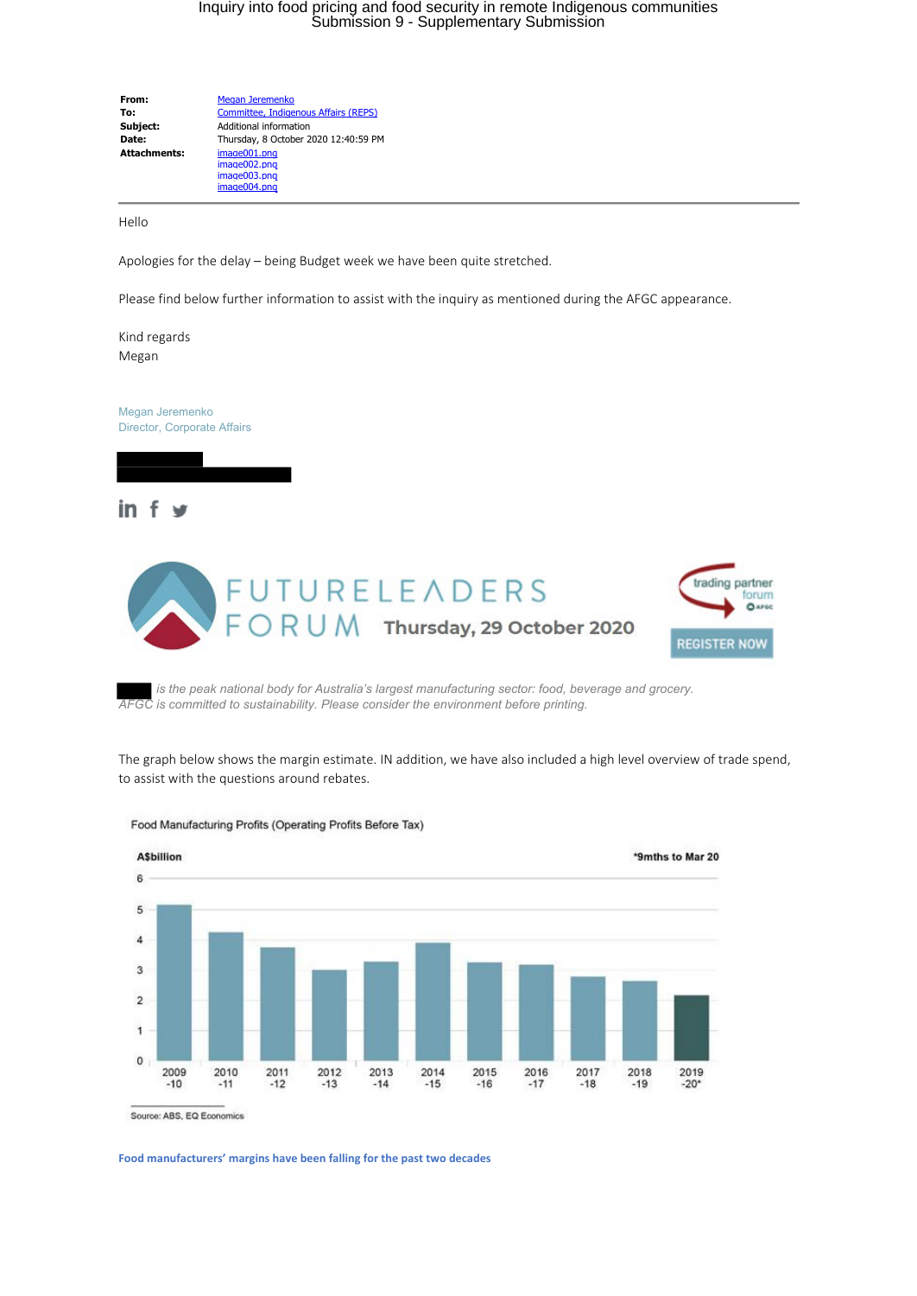## Inquiry into food pricing and food security in remote Indigenous communities Submission 9 - Supplementary Submission

**From:** [Megan Jeremenko](mailto:Megan.Jeremenko@afgc.org.au) **To:** [Committee, Indigenous Affairs \(REPS\)](mailto:IndigenousAffairs.Reps@aph.gov.au)<br> **Subject:** Additional information **Subject:** Additional information **Date:** Thursday, 8 October 2020 12:40:59 PM **Attachments:** image001.png image002.png image003.png image004.png

Hello

Apologies for the delay – being Budget week we have been quite stretched.

Please find below further information to assist with the inquiry as mentioned during the AFGC appearance.

Kind regards Megan

Megan Jeremenko Director, Corporate Affairs

 $\overline{\phantom{a}}$ 



 *is the peak national body for Australia's largest manufacturing sector: food, beverage and grocery. AFGC is committed to sustainability. Please consider the environment before printing.*

The graph below shows the margin estimate. IN addition, we have also included a high level overview of trade spend, to assist with the questions around rebates.



Food Manufacturing Profits (Operating Profits Before Tax)

Source: ABS, EQ Economics

**Food manufacturers' margins have been falling for the past two decades**